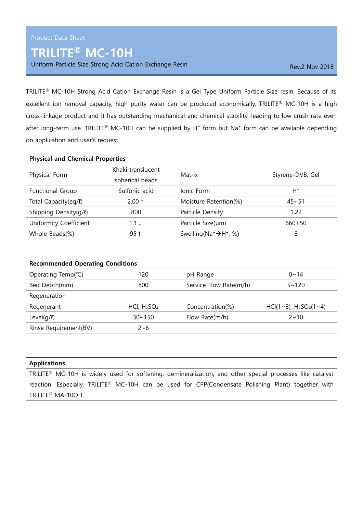## TRILITE® MC-10H

Uniform Particle Size Strong Acid Cation Exchange Resin Rev. 2 Nov 2018

TRILITE® MC-10H Strong Acid Cation Exchange Resin is a Gel Type Uniform Particle Size resin. Because of its excellent ion removal capacity, high purity water can be produced economically. TRILITE® MC-10H is a high cross-linkage product and it has outstanding mechanical and chemical stability, leading to low crush rate even after long-term use. TRILITE® MC-10H can be supplied by  $H^+$  form but Na<sup>+</sup> form can be available depending on application and user's request.

| <b>Physical and Chemical Properties</b> |                                      |                                        |                  |  |
|-----------------------------------------|--------------------------------------|----------------------------------------|------------------|--|
| Physical Form                           | Khaki translucent<br>spherical beads | Matrix                                 | Styrene-DVB, Gel |  |
| Functional Group                        | Sulfonic acid                        | Ionic Form                             | $H^+$            |  |
| Total Capacity(eq/l)                    | $2.00 \uparrow$                      | Moisture Retention(%)                  | $45 - 51$        |  |
| Shipping Density(g/l)                   | 800                                  | Particle Density                       | 1.22             |  |
| Uniformity Coefficient                  | $1.1 \downarrow$                     | Particle Size(µm)                      | $660 \pm 50$     |  |
| Whole Beads(%)                          | $95$ ↑                               | Swelling ( $Na^+ \rightarrow H^+$ , %) | 8                |  |

| <b>Recommended Operating Conditions</b> |                |                        |                          |  |
|-----------------------------------------|----------------|------------------------|--------------------------|--|
| Operating Temp(°C)                      | 120            | pH Range               | $0 \sim 14$              |  |
| Bed Depth(mm)                           | 800            | Service Flow Rate(m/h) | $5 - 120$                |  |
| Regeneration                            |                |                        |                          |  |
| Regenerant                              | HCl, $H_2SO_4$ | Concentration(%)       | HCl(1~8), $H_2SO_4(1-4)$ |  |
| Level $(q/\ell)$                        | $30 - 150$     | Flow Rate $(m/h)$      | $2 \sim 10$              |  |
| Rinse Requirement(BV)                   | $2 - 6$        |                        |                          |  |

## Applications

TRILITE® MC-10H is widely used for softening, demineralization, and other special processes like catalyst reaction. Especially, TRILITE® MC-10H can be used for CPP(Condensate Polishing Plant) together with TRILITE® MA-10OH.